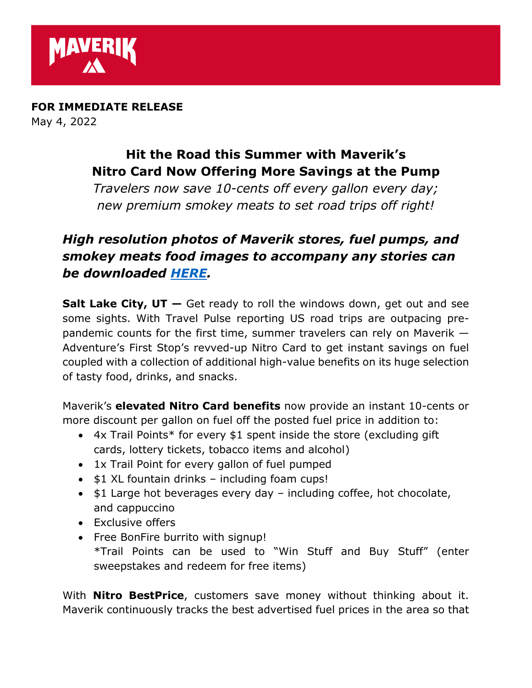

**FOR IMMEDIATE RELEASE**  May 4, 2022

## **Hit the Road this Summer with Maverik's Nitro Card Now Offering More Savings at the Pump**

*Travelers now save 10-cents off every gallon every day; new premium smokey meats to set road trips off right!*

## *High resolution photos of Maverik stores, fuel pumps, and smokey meats food images to accompany any stories can be downloaded [HERE.](https://www.dropbox.com/sh/b2llcd2pjgdkk00/AABgRVcLv_4fTjcQLvEbh8Hua?dl=0)*

**Salt Lake City, UT —** Get ready to roll the windows down, get out and see some sights. With Travel Pulse reporting US road trips are outpacing prepandemic counts for the first time, summer travelers can rely on Maverik — Adventure's First Stop's revved-up Nitro Card to get instant savings on fuel coupled with a collection of additional high-value benefits on its huge selection of tasty food, drinks, and snacks.

Maverik's **elevated Nitro Card benefits** now provide an instant 10-cents or more discount per gallon on fuel off the posted fuel price in addition to:

- 4x Trail Points\* for every \$1 spent inside the store (excluding gift cards, lottery tickets, tobacco items and alcohol)
- 1x Trail Point for every gallon of fuel pumped
- \$1 XL fountain drinks including foam cups!
- \$1 Large hot beverages every day including coffee, hot chocolate, and cappuccino
- Exclusive offers
- Free BonFire burrito with signup! \*Trail Points can be used to "Win Stuff and Buy Stuff" (enter sweepstakes and redeem for free items)

With **Nitro BestPrice**, customers save money without thinking about it. Maverik continuously tracks the best advertised fuel prices in the area so that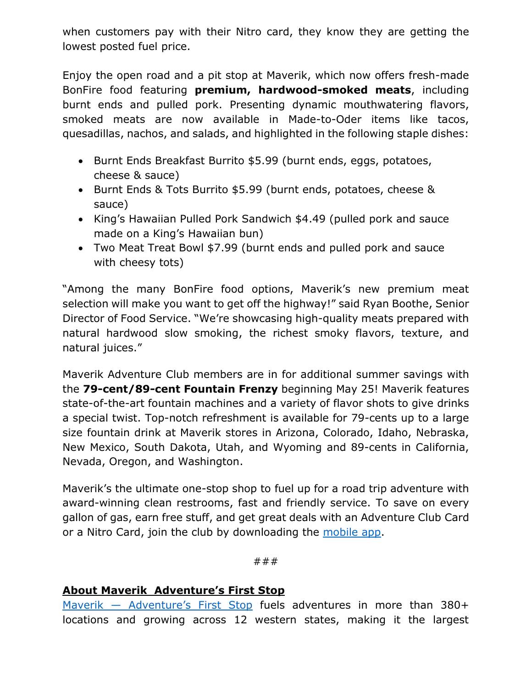when customers pay with their Nitro card, they know they are getting the lowest posted fuel price.

Enjoy the open road and a pit stop at Maverik, which now offers fresh-made BonFire food featuring **premium, hardwood-smoked meats**, including burnt ends and pulled pork. Presenting dynamic mouthwatering flavors, smoked meats are now available in Made-to-Oder items like tacos, quesadillas, nachos, and salads, and highlighted in the following staple dishes:

- Burnt Ends Breakfast Burrito \$5.99 (burnt ends, eggs, potatoes, cheese & sauce)
- Burnt Ends & Tots Burrito \$5.99 (burnt ends, potatoes, cheese & sauce)
- King's Hawaiian Pulled Pork Sandwich \$4.49 (pulled pork and sauce made on a King's Hawaiian bun)
- Two Meat Treat Bowl \$7.99 (burnt ends and pulled pork and sauce with cheesy tots)

"Among the many BonFire food options, Maverik's new premium meat selection will make you want to get off the highway!" said Ryan Boothe, Senior Director of Food Service. "We're showcasing high-quality meats prepared with natural hardwood slow smoking, the richest smoky flavors, texture, and natural juices."

Maverik Adventure Club members are in for additional summer savings with the **79-cent/89-cent Fountain Frenzy** beginning May 25! Maverik features state-of-the-art fountain machines and a variety of flavor shots to give drinks a special twist. Top-notch refreshment is available for 79-cents up to a large size fountain drink at Maverik stores in Arizona, Colorado, Idaho, Nebraska, New Mexico, South Dakota, Utah, and Wyoming and 89-cents in California, Nevada, Oregon, and Washington.

Maverik's the ultimate one-stop shop to fuel up for a road trip adventure with award-winning clean restrooms, fast and friendly service. To save on every gallon of gas, earn free stuff, and get great deals with an Adventure Club Card or a Nitro Card, join the club by downloading the [mobile app.](https://maverik.com/rewards/#steps)

###

## **About Maverik Adventure's First Stop**

Maverik – [Adventure's First Stop](https://maverik.com/) fuels adventures in more than 380+ locations and growing across 12 western states, making it the largest